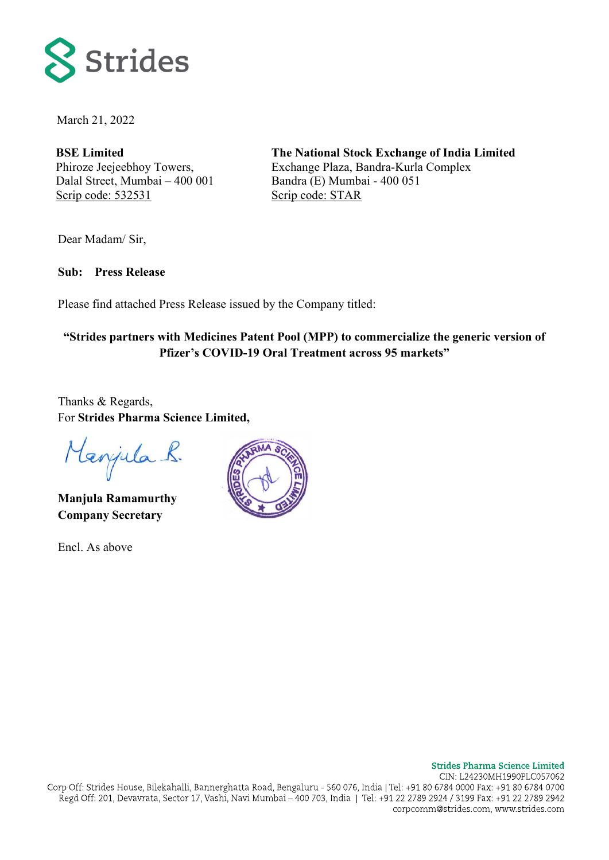

March 21, 2022

**BSE Limited** Phiroze Jeejeebhoy Towers, Dalal Street, Mumbai – 400 001 Scrip code: 532531

**The National Stock Exchange of India Limited** Exchange Plaza, Bandra-Kurla Complex Bandra (E) Mumbai - 400 051 Scrip code: STAR

Dear Madam/ Sir,

**Sub: Press Release** 

Please find attached Press Release issued by the Company titled:

## **"Strides partners with Medicines Patent Pool (MPP) to commercialize the generic version of Pfizer's COVID-19 Oral Treatment across 95 markets"**

Thanks & Regards, For **Strides Pharma Science Limited,**

Manjula R.

**Manjula Ramamurthy Company Secretary**

Encl. As above

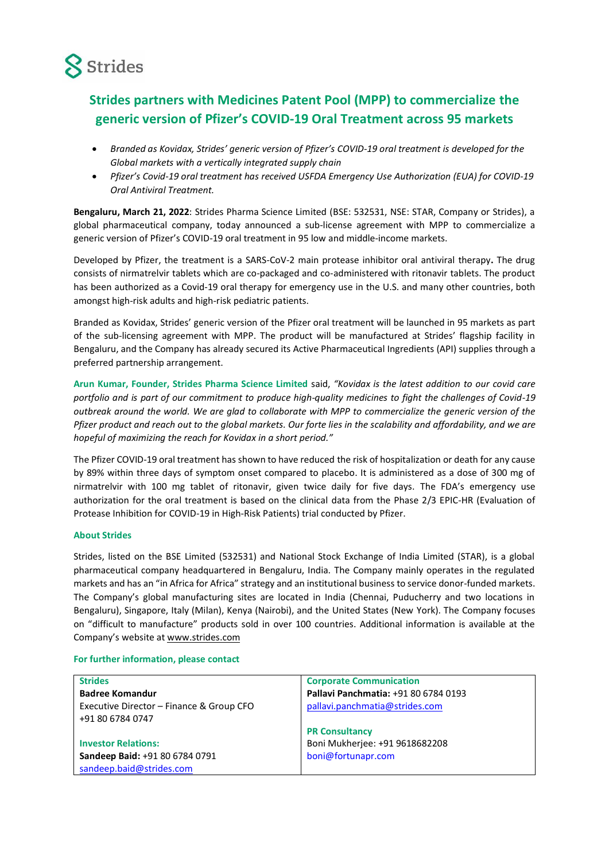

## **Strides partners with Medicines Patent Pool (MPP) to commercialize the generic version of Pfizer's COVID-19 Oral Treatment across 95 markets**

- *Branded as Kovidax, Strides' generic version of Pfizer's COVID-19 oral treatment is developed for the Global markets with a vertically integrated supply chain*
- *Pfizer's Covid-19 oral treatment has received USFDA Emergency Use Authorization (EUA) for COVID-19 Oral Antiviral Treatment.*

**Bengaluru, March 21, 2022**: Strides Pharma Science Limited (BSE: 532531, NSE: STAR, Company or Strides), a global pharmaceutical company, today announced a sub-license agreement with MPP to commercialize a generic version of Pfizer's COVID-19 oral treatment in 95 low and middle-income markets.

Developed by Pfizer, the treatment is a SARS-CoV-2 main protease inhibitor oral antiviral therapy**.** The drug consists of nirmatrelvir tablets which are co-packaged and co-administered with ritonavir tablets. The product has been authorized as a Covid-19 oral therapy for emergency use in the U.S. and many other countries, both amongst high-risk adults and high-risk pediatric patients.

Branded as Kovidax, Strides' generic version of the Pfizer oral treatment will be launched in 95 markets as part of the sub-licensing agreement with MPP. The product will be manufactured at Strides' flagship facility in Bengaluru, and the Company has already secured its Active Pharmaceutical Ingredients (API) supplies through a preferred partnership arrangement.

**Arun Kumar, Founder, Strides Pharma Science Limited** said, *"Kovidax is the latest addition to our covid care portfolio and is part of our commitment to produce high-quality medicines to fight the challenges of Covid-19 outbreak around the world. We are glad to collaborate with MPP to commercialize the generic version of the Pfizer product and reach out to the global markets. Our forte lies in the scalability and affordability, and we are hopeful of maximizing the reach for Kovidax in a short period."*

The Pfizer COVID-19 oral treatment has shown to have reduced the risk of hospitalization or death for any cause by 89% within three days of symptom onset compared to placebo. It is administered as a dose of 300 mg of nirmatrelvir with 100 mg tablet of ritonavir, given twice daily for five days. The FDA's emergency use authorization for the oral treatment is based on the clinical data from the Phase 2/3 EPIC-HR (Evaluation of Protease Inhibition for COVID-19 in High-Risk Patients) trial conducted by Pfizer.

## **About Strides**

Strides, listed on the BSE Limited (532531) and National Stock Exchange of India Limited (STAR), is a global pharmaceutical company headquartered in Bengaluru, India. The Company mainly operates in the regulated markets and has an "in Africa for Africa" strategy and an institutional business to service donor-funded markets. The Company's global manufacturing sites are located in India (Chennai, Puducherry and two locations in Bengaluru), Singapore, Italy (Milan), Kenya (Nairobi), and the United States (New York). The Company focuses on "difficult to manufacture" products sold in over 100 countries. Additional information is available at the Company's website at [www.strides.com](http://www.strides.com/)

## **For further information, please contact**

| <b>Strides</b>                           | <b>Corporate Communication</b>       |
|------------------------------------------|--------------------------------------|
| <b>Badree Komandur</b>                   | Pallavi Panchmatia: +91 80 6784 0193 |
| Executive Director - Finance & Group CFO | pallavi.panchmatia@strides.com       |
| +91 80 6784 0747                         |                                      |
|                                          | <b>PR Consultancy</b>                |
| <b>Investor Relations:</b>               | Boni Mukherjee: +91 9618682208       |
| Sandeep Baid: +91 80 6784 0791           | boni@fortunapr.com                   |
| sandeep.baid@strides.com                 |                                      |